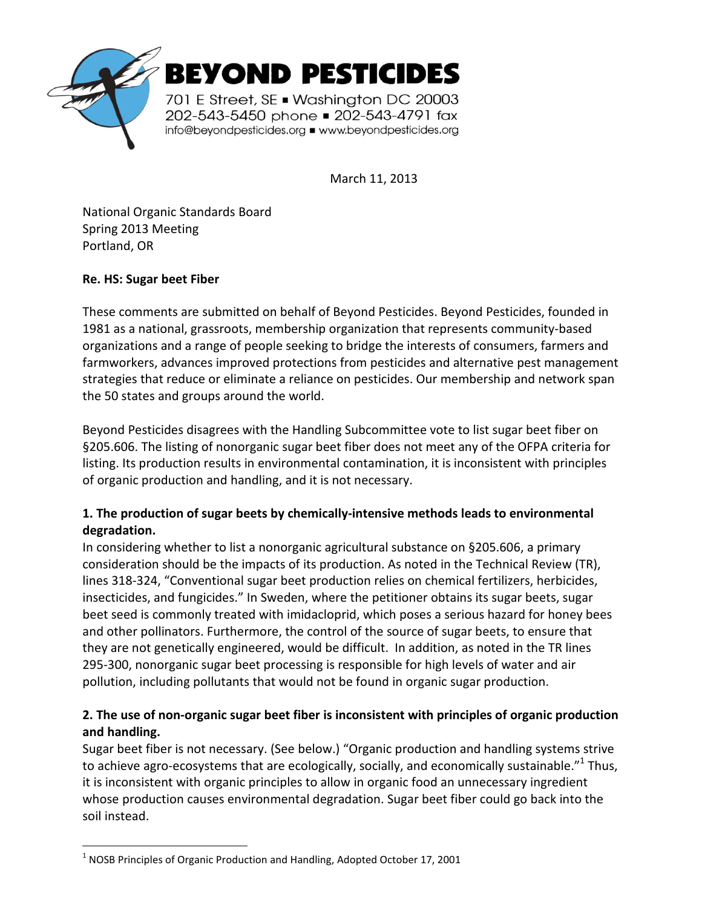

March 11, 2013

National Organic Standards Board Spring 2013 Meeting Portland, OR

## **Re. HS: Sugar beet Fiber**

 $\overline{a}$ 

These comments are submitted on behalf of Beyond Pesticides. Beyond Pesticides, founded in 1981 as a national, grassroots, membership organization that represents community-based organizations and a range of people seeking to bridge the interests of consumers, farmers and farmworkers, advances improved protections from pesticides and alternative pest management strategies that reduce or eliminate a reliance on pesticides. Our membership and network span the 50 states and groups around the world.

Beyond Pesticides disagrees with the Handling Subcommittee vote to list sugar beet fiber on §205.606. The listing of nonorganic sugar beet fiber does not meet any of the OFPA criteria for listing. Its production results in environmental contamination, it is inconsistent with principles of organic production and handling, and it is not necessary.

## **1. The production of sugar beets by chemically-intensive methods leads to environmental degradation.**

In considering whether to list a nonorganic agricultural substance on §205.606, a primary consideration should be the impacts of its production. As noted in the Technical Review (TR), lines 318-324, "Conventional sugar beet production relies on chemical fertilizers, herbicides, insecticides, and fungicides." In Sweden, where the petitioner obtains its sugar beets, sugar beet seed is commonly treated with imidacloprid, which poses a serious hazard for honey bees and other pollinators. Furthermore, the control of the source of sugar beets, to ensure that they are not genetically engineered, would be difficult. In addition, as noted in the TR lines 295-300, nonorganic sugar beet processing is responsible for high levels of water and air pollution, including pollutants that would not be found in organic sugar production.

## **2. The use of non-organic sugar beet fiber is inconsistent with principles of organic production and handling.**

Sugar beet fiber is not necessary. (See below.) "Organic production and handling systems strive to achieve agro-ecosystems that are ecologically, socially, and economically sustainable." $^{1}$  Thus, it is inconsistent with organic principles to allow in organic food an unnecessary ingredient whose production causes environmental degradation. Sugar beet fiber could go back into the soil instead.

 $1$  NOSB Principles of Organic Production and Handling, Adopted October 17, 2001